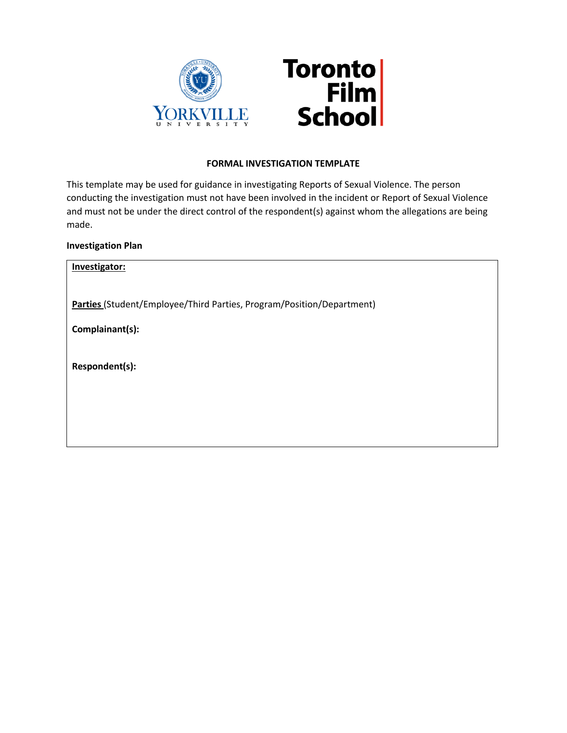

## **FORMAL INVESTIGATION TEMPLATE**

This template may be used for guidance in investigating Reports of Sexual Violence. The person conducting the investigation must not have been involved in the incident or Report of Sexual Violence and must not be under the direct control of the respondent(s) against whom the allegations are being made.

## **Investigation Plan**

| Investigator:                                                         |
|-----------------------------------------------------------------------|
| Parties (Student/Employee/Third Parties, Program/Position/Department) |
| Complainant(s):                                                       |
| Respondent(s):                                                        |
|                                                                       |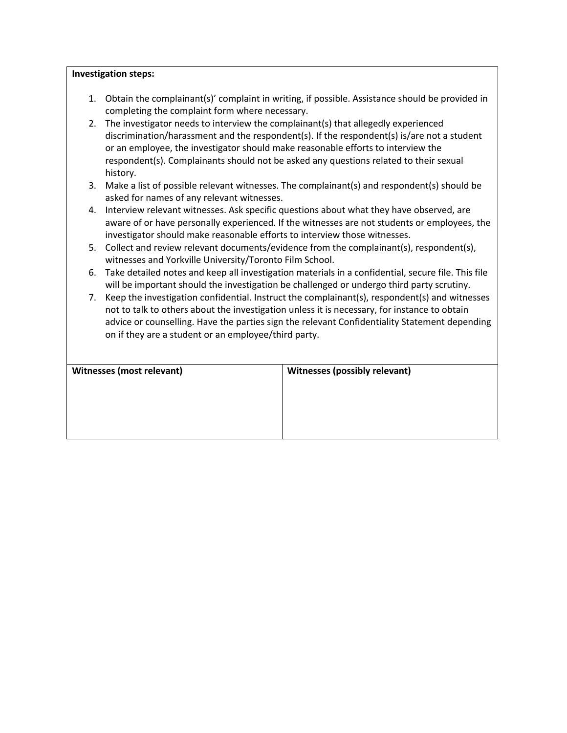## **Investigation steps:**

- 1. Obtain the complainant(s)' complaint in writing, if possible. Assistance should be provided in completing the complaint form where necessary.
- 2. The investigator needs to interview the complainant(s) that allegedly experienced discrimination/harassment and the respondent(s). If the respondent(s) is/are not a student or an employee, the investigator should make reasonable efforts to interview the respondent(s). Complainants should not be asked any questions related to their sexual history.
- 3. Make a list of possible relevant witnesses. The complainant(s) and respondent(s) should be asked for names of any relevant witnesses.
- 4. Interview relevant witnesses. Ask specific questions about what they have observed, are aware of or have personally experienced. If the witnesses are not students or employees, the investigator should make reasonable efforts to interview those witnesses.
- 5. Collect and review relevant documents/evidence from the complainant(s), respondent(s), witnesses and Yorkville University/Toronto Film School.
- 6. Take detailed notes and keep all investigation materials in a confidential, secure file. This file will be important should the investigation be challenged or undergo third party scrutiny.
- 7. Keep the investigation confidential. Instruct the complainant(s), respondent(s) and witnesses not to talk to others about the investigation unless it is necessary, for instance to obtain advice or counselling. Have the parties sign the relevant Confidentiality Statement depending on if they are a student or an employee/third party.

| <b>Witnesses (most relevant)</b> | <b>Witnesses (possibly relevant)</b> |  |
|----------------------------------|--------------------------------------|--|
|                                  |                                      |  |
|                                  |                                      |  |
|                                  |                                      |  |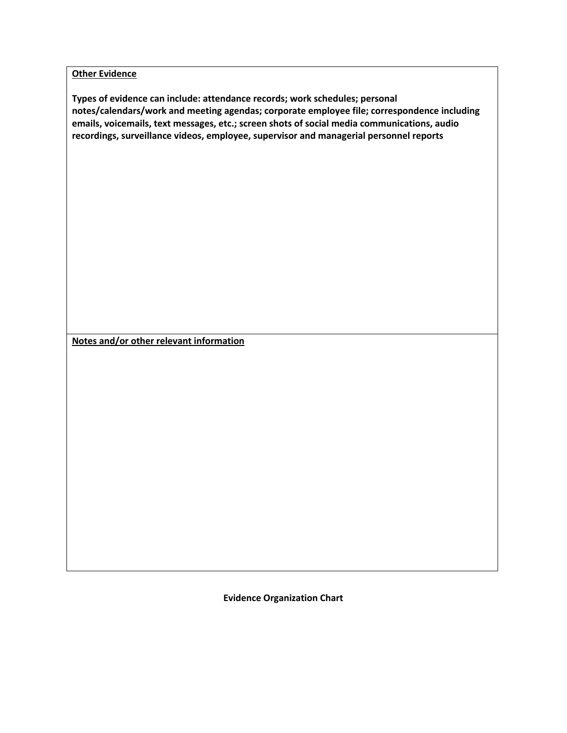**Other Evidence** 

**Types of evidence can include: attendance records; work schedules; personal notes/calendars/work and meeting agendas; corporate employee file; correspondence including emails, voicemails, text messages, etc.; screen shots of social media communications, audio recordings, surveillance videos, employee, supervisor and managerial personnel reports**

**Notes and/or other relevant information**

**Evidence Organization Chart**